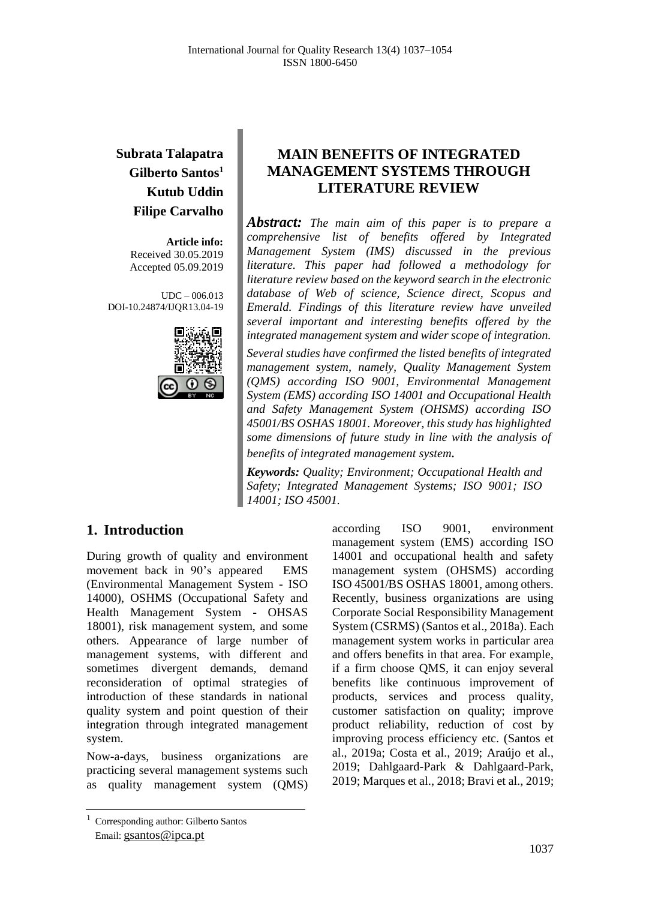# **Subrata Talapatra Gilberto Santos<sup>1</sup> Kutub Uddin Filipe Carvalho**

**Article info:** Received 30.05.2019 Accepted 05.09.2019

UDC – 006.013 DOI-10.24874/IJQR13.04-19



## **MAIN BENEFITS OF INTEGRATED MANAGEMENT SYSTEMS THROUGH LITERATURE REVIEW**

*Abstract: The main aim of this paper is to prepare a comprehensive list of benefits offered by Integrated Management System (IMS) discussed in the previous literature. This paper had followed a methodology for literature review based on the keyword search in the electronic database of Web of science, Science direct, Scopus and Emerald. Findings of this literature review have unveiled several important and interesting benefits offered by the integrated management system and wider scope of integration. Several studies have confirmed the listed benefits of integrated management system, namely, Quality Management System (QMS) according ISO 9001, Environmental Management System (EMS) according ISO 14001 and Occupational Health and Safety Management System (OHSMS) according ISO 45001/BS OSHAS 18001. Moreover, this study has highlighted some dimensions of future study in line with the analysis of benefits of integrated management system.*

*Keywords: Quality; Environment; Occupational Health and Safety; Integrated Management Systems; ISO 9001; ISO 14001; ISO 45001.*

### **1. Introduction**

During growth of quality and environment movement back in 90's appeared EMS (Environmental Management System - ISO 14000), OSHMS (Occupational Safety and Health Management System - OHSAS 18001), risk management system, and some others. Appearance of large number of management systems, with different and sometimes divergent demands, demand reconsideration of optimal strategies of introduction of these standards in national quality system and point question of their integration through integrated management system.

Now-a-days, business organizations are practicing several management systems such as quality management system (QMS)

<sup>1</sup> Corresponding author: Gilberto Santos Email: gsantos@ipca.pt

according ISO 9001, environment management system (EMS) according ISO 14001 and occupational health and safety management system (OHSMS) according ISO 45001/BS OSHAS 18001, among others. Recently, business organizations are using Corporate Social Responsibility Management System (CSRMS) (Santos et al., 2018a). Each management system works in particular area and offers benefits in that area. For example, if a firm choose QMS, it can enjoy several benefits like continuous improvement of products, services and process quality, customer satisfaction on quality; improve product reliability, reduction of cost by improving process efficiency etc. (Santos et al., 2019a; Costa et al., 2019; Araújo et al., 2019; Dahlgaard-Park & Dahlgaard-Park, 2019; Marques et al., 2018; Bravi et al., 2019;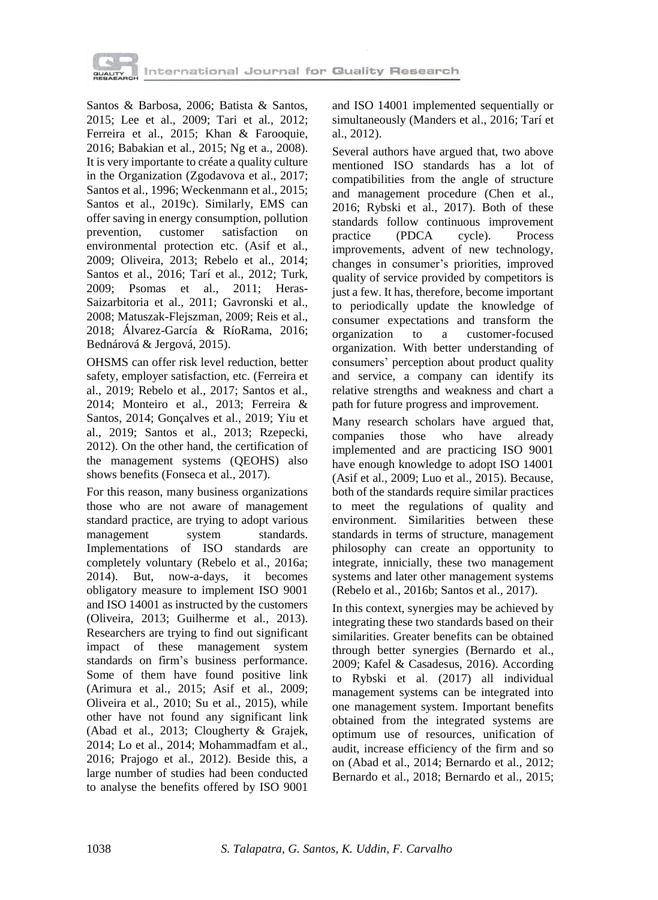

Santos & Barbosa, 2006; Batista & Santos, 2015; Lee et al., 2009; Tari et al., 2012; Ferreira et al., 2015; Khan & Farooquie, 2016; Babakian et al., 2015; Ng et a., 2008). It is very importante to créate a quality culture in the Organization (Zgodavova et al., 2017; Santos et al., 1996; Weckenmann et al., 2015; Santos et al., 2019c). Similarly, EMS can offer saving in energy consumption, pollution prevention, customer satisfaction on environmental protection etc. (Asif et al., 2009; Oliveira, 2013; Rebelo et al., 2014; Santos et al., 2016; Tarí et al., 2012; Turk, 2009; Psomas et al., 2011; Heras-Saizarbitoria et al., 2011; Gavronski et al., 2008; Matuszak-Flejszman, 2009; Reis et al., 2018; Álvarez-García & RíoRama, 2016; Bednárová & Jergová, 2015).

OHSMS can offer risk level reduction, better safety, employer satisfaction, etc. (Ferreira et al., 2019; Rebelo et al., 2017; Santos et al., 2014; Monteiro et al., 2013; Ferreira & Santos, 2014; Gonçalves et al., 2019; Yiu et al., 2019; Santos et al., 2013; Rzepecki, 2012). On the other hand, the certification of the management systems (QEOHS) also shows benefits (Fonseca et al., 2017).

For this reason, many business organizations those who are not aware of management standard practice, are trying to adopt various management system standards. Implementations of ISO standards are completely voluntary (Rebelo et al., 2016a; 2014). But, now-a-days, it becomes obligatory measure to implement ISO 9001 and ISO 14001 as instructed by the customers (Oliveira, 2013; Guilherme et al., 2013). Researchers are trying to find out significant impact of these management system standards on firm's business performance. Some of them have found positive link (Arimura et al., 2015; Asif et al., 2009; Oliveira et al., 2010; Su et al., 2015), while other have not found any significant link (Abad et al., 2013; Clougherty & Grajek, 2014; Lo et al., 2014; Mohammadfam et al., 2016; Prajogo et al., 2012). Beside this, a large number of studies had been conducted to analyse the benefits offered by ISO 9001

and ISO 14001 implemented sequentially or simultaneously (Manders et al., 2016; Tarí et al., 2012).

Several authors have argued that, two above mentioned ISO standards has a lot of compatibilities from the angle of structure and management procedure (Chen et al., 2016; Rybski et al., 2017). Both of these standards follow continuous improvement practice (PDCA cycle). Process improvements, advent of new technology, changes in consumer's priorities, improved quality of service provided by competitors is just a few. It has, therefore, become important to periodically update the knowledge of consumer expectations and transform the organization to a customer-focused organization. With better understanding of consumers' perception about product quality and service, a company can identify its relative strengths and weakness and chart a path for future progress and improvement.

Many research scholars have argued that, companies those who have already implemented and are practicing ISO 9001 have enough knowledge to adopt ISO 14001 (Asif et al., 2009; Luo et al., 2015). Because, both of the standards require similar practices to meet the regulations of quality and environment. Similarities between these standards in terms of structure, management philosophy can create an opportunity to integrate, innicially, these two management systems and later other management systems (Rebelo et al., 2016b; Santos et al., 2017).

In this context, synergies may be achieved by integrating these two standards based on their similarities. Greater benefits can be obtained through better synergies (Bernardo et al., 2009; Kafel & Casadesus, 2016). According to Rybski et al. (2017) all individual management systems can be integrated into one management system. Important benefits obtained from the integrated systems are optimum use of resources, unification of audit, increase efficiency of the firm and so on (Abad et al., 2014; Bernardo et al., 2012; Bernardo et al., 2018; Bernardo et al., 2015;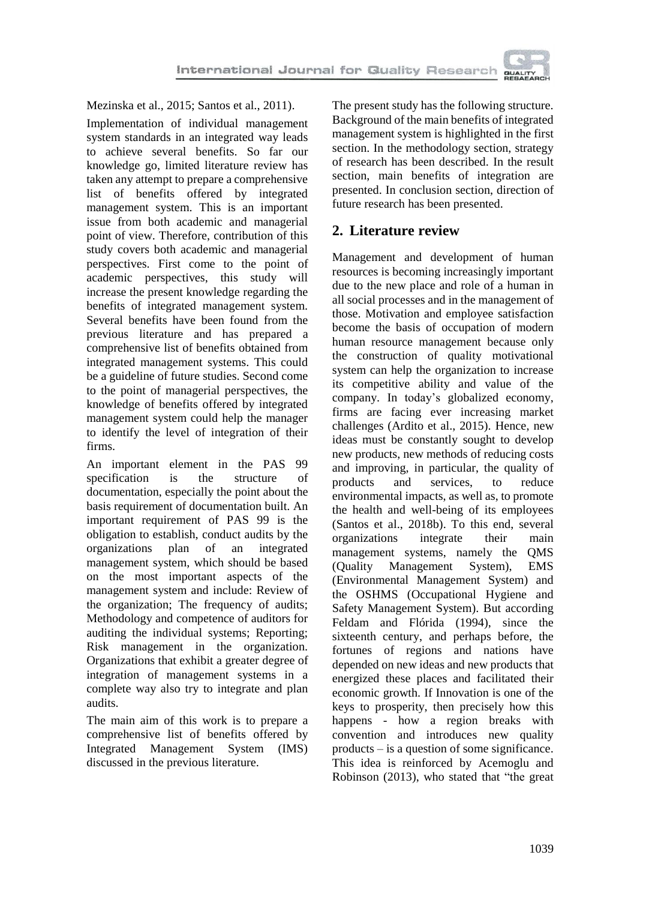

Mezinska et al., 2015; Santos et al., 2011).

Implementation of individual management system standards in an integrated way leads to achieve several benefits. So far our knowledge go, limited literature review has taken any attempt to prepare a comprehensive list of benefits offered by integrated management system. This is an important issue from both academic and managerial point of view. Therefore, contribution of this study covers both academic and managerial perspectives. First come to the point of academic perspectives, this study will increase the present knowledge regarding the benefits of integrated management system. Several benefits have been found from the previous literature and has prepared a comprehensive list of benefits obtained from integrated management systems. This could be a guideline of future studies. Second come to the point of managerial perspectives, the knowledge of benefits offered by integrated management system could help the manager to identify the level of integration of their firms.

An important element in the PAS 99 specification is the structure of documentation, especially the point about the basis requirement of documentation built. An important requirement of PAS 99 is the obligation to establish, conduct audits by the organizations plan of an integrated management system, which should be based on the most important aspects of the management system and include: Review of the organization; The frequency of audits; Мethodology and competence of auditors for auditing the individual systems; Reporting; Risk management in the organization. Organizations that exhibit a greater degree of integration of management systems in a complete way also try to integrate and plan audits.

The main aim of this work is to prepare a comprehensive list of benefits offered by Integrated Management System (IMS) discussed in the previous literature.

The present study has the following structure. Background of the main benefits of integrated management system is highlighted in the first section. In the methodology section, strategy of research has been described. In the result section, main benefits of integration are presented. In conclusion section, direction of future research has been presented.

### **2. Literature review**

Management and development of human resources is becoming increasingly important due to the new place and role of a human in all social processes and in the management of those. Motivation and employee satisfaction become the basis of occupation of modern human resource management because only the construction of quality motivational system can help the organization to increase its competitive ability and value of the company. In today's globalized economy, firms are facing ever increasing market challenges (Ardito et al., 2015). Hence, new ideas must be constantly sought to develop new products, new methods of reducing costs and improving, in particular, the quality of products and services, to reduce environmental impacts, as well as, to promote the health and well-being of its employees (Santos et al., 2018b). To this end, several organizations integrate their main management systems, namely the QMS (Quality Management System), EMS (Environmental Management System) and the OSHMS (Occupational Hygiene and Safety Management System). But according Feldam and Flórida (1994), since the sixteenth century, and perhaps before, the fortunes of regions and nations have depended on new ideas and new products that energized these places and facilitated their economic growth. If Innovation is one of the keys to prosperity, then precisely how this happens - how a region breaks with convention and introduces new quality products – is a question of some significance. This idea is reinforced by Acemoglu and Robinson (2013), who stated that "the great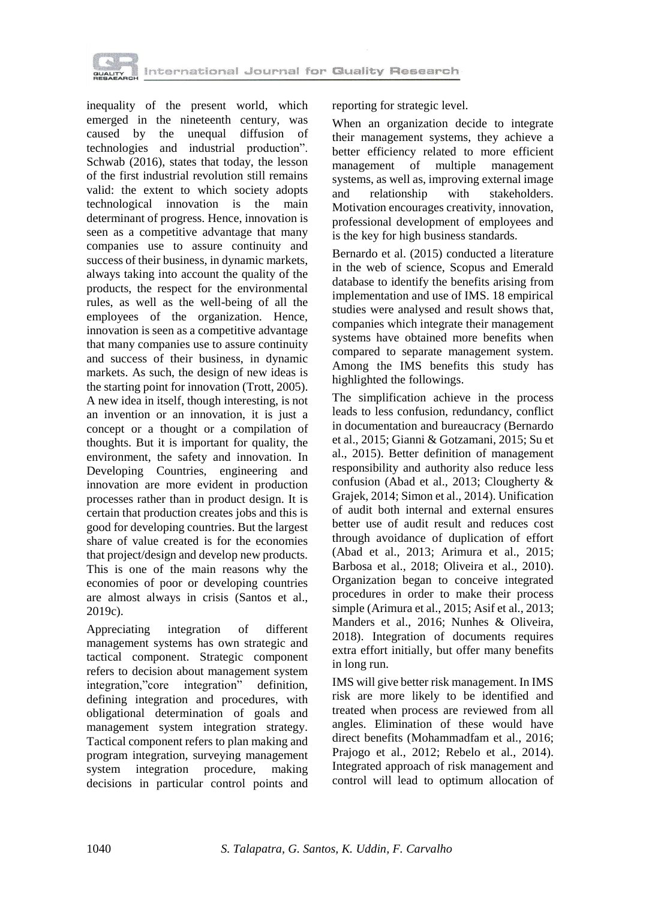

inequality of the present world, which emerged in the nineteenth century, was caused by the unequal diffusion of technologies and industrial production". Schwab (2016), states that today, the lesson of the first industrial revolution still remains valid: the extent to which society adopts technological innovation is the main determinant of progress. Hence, innovation is seen as a competitive advantage that many companies use to assure continuity and success of their business, in dynamic markets, always taking into account the quality of the products, the respect for the environmental rules, as well as the well-being of all the employees of the organization. Hence, innovation is seen as a competitive advantage that many companies use to assure continuity and success of their business, in dynamic markets. As such, the design of new ideas is the starting point for innovation (Trott, 2005). A new idea in itself, though interesting, is not an invention or an innovation, it is just a concept or a thought or a compilation of thoughts. But it is important for quality, the environment, the safety and innovation. In Developing Countries, engineering and innovation are more evident in production processes rather than in product design. It is certain that production creates jobs and this is good for developing countries. But the largest share of value created is for the economies that project/design and develop new products. This is one of the main reasons why the economies of poor or developing countries are almost always in crisis (Santos et al., 2019c).

Appreciating integration of different management systems has own strategic and tactical component. Strategic component refers to decision about management system integration,"core integration" definition, defining integration and procedures, with obligational determination of goals and management system integration strategy. Tactical component refers to plan making and program integration, surveying management system integration procedure, making decisions in particular control points and reporting for strategic level.

When an organization decide to integrate their management systems, they achieve a better efficiency related to more efficient management of multiple management systems, as well as, improving external image<br>and relationship with stakeholders. and relationship with stakeholders. Motivation encourages creativity, innovation, professional development of employees and is the key for high business standards.

Bernardo et al. (2015) conducted a literature in the web of science, Scopus and Emerald database to identify the benefits arising from implementation and use of IMS. 18 empirical studies were analysed and result shows that, companies which integrate their management systems have obtained more benefits when compared to separate management system. Among the IMS benefits this study has highlighted the followings.

The simplification achieve in the process leads to less confusion, redundancy, conflict in documentation and bureaucracy (Bernardo et al., 2015; Gianni & Gotzamani, 2015; Su et al., 2015). Better definition of management responsibility and authority also reduce less confusion (Abad et al., 2013; Clougherty & Grajek, 2014; Simon et al., 2014). Unification of audit both internal and external ensures better use of audit result and reduces cost through avoidance of duplication of effort (Abad et al., 2013; Arimura et al., 2015; Barbosa et al., 2018; Oliveira et al., 2010). Organization began to conceive integrated procedures in order to make their process simple (Arimura et al., 2015; Asif et al., 2013; Manders et al., 2016; Nunhes & Oliveira, 2018). Integration of documents requires extra effort initially, but offer many benefits in long run.

IMS will give better risk management. In IMS risk are more likely to be identified and treated when process are reviewed from all angles. Elimination of these would have direct benefits (Mohammadfam et al., 2016; Prajogo et al., 2012; Rebelo et al., 2014). Integrated approach of risk management and control will lead to optimum allocation of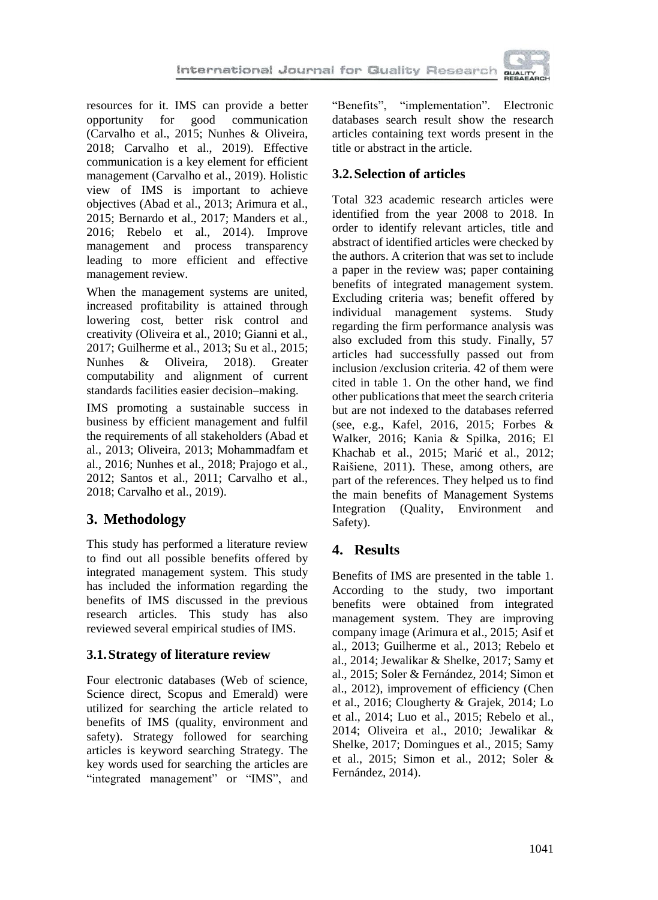

resources for it. IMS can provide a better opportunity for good communication (Carvalho et al., 2015; Nunhes & Oliveira, 2018; Carvalho et al., 2019). Effective communication is a key element for efficient management (Carvalho et al., 2019). Holistic view of IMS is important to achieve objectives (Abad et al., 2013; Arimura et al., 2015; Bernardo et al., 2017; Manders et al., 2016; Rebelo et al., 2014). Improve management and process transparency leading to more efficient and effective management review.

When the management systems are united, increased profitability is attained through lowering cost, better risk control and creativity (Oliveira et al., 2010; Gianni et al., 2017; Guilherme et al., 2013; Su et al., 2015; Nunhes & Oliveira, 2018). Greater computability and alignment of current standards facilities easier decision–making.

IMS promoting a sustainable success in business by efficient management and fulfil the requirements of all stakeholders (Abad et al., 2013; Oliveira, 2013; Mohammadfam et al., 2016; Nunhes et al., 2018; Prajogo et al., 2012; Santos et al., 2011; Carvalho et al., 2018; Carvalho et al., 2019).

# **3. Methodology**

This study has performed a literature review to find out all possible benefits offered by integrated management system. This study has included the information regarding the benefits of IMS discussed in the previous research articles. This study has also reviewed several empirical studies of IMS.

### **3.1.Strategy of literature review**

Four electronic databases (Web of science, Science direct, Scopus and Emerald) were utilized for searching the article related to benefits of IMS (quality, environment and safety). Strategy followed for searching articles is keyword searching Strategy. The key words used for searching the articles are "integrated management" or "IMS", and "Benefits", "implementation". Electronic databases search result show the research articles containing text words present in the title or abstract in the article.

### **3.2.Selection of articles**

Total 323 academic research articles were identified from the year 2008 to 2018. In order to identify relevant articles, title and abstract of identified articles were checked by the authors. A criterion that was set to include a paper in the review was; paper containing benefits of integrated management system. Excluding criteria was; benefit offered by individual management systems. Study regarding the firm performance analysis was also excluded from this study. Finally, 57 articles had successfully passed out from inclusion /exclusion criteria. 42 of them were cited in table 1. On the other hand, we find other publications that meet the search criteria but are not indexed to the databases referred (see, e.g., Kafel, 2016, 2015; Forbes & Walker, 2016; Kania & Spilka, 2016; El Khachab et al., 2015; Marić et al., 2012; Raišiene, 2011). These, among others, are part of the references. They helped us to find the main benefits of Management Systems Integration (Quality, Environment and Safety).

## **4. Results**

Benefits of IMS are presented in the table 1. According to the study, two important benefits were obtained from integrated management system. They are improving company image (Arimura et al., 2015; Asif et al., 2013; Guilherme et al., 2013; Rebelo et al., 2014; Jewalikar & Shelke, 2017; Samy et al., 2015; Soler & Fernández, 2014; Simon et al., 2012), improvement of efficiency (Chen et al., 2016; Clougherty & Grajek, 2014; Lo et al., 2014; Luo et al., 2015; Rebelo et al., 2014; Oliveira et al., 2010; Jewalikar & Shelke, 2017; Domingues et al., 2015; Samy et al., 2015; Simon et al., 2012; Soler & Fernández, 2014).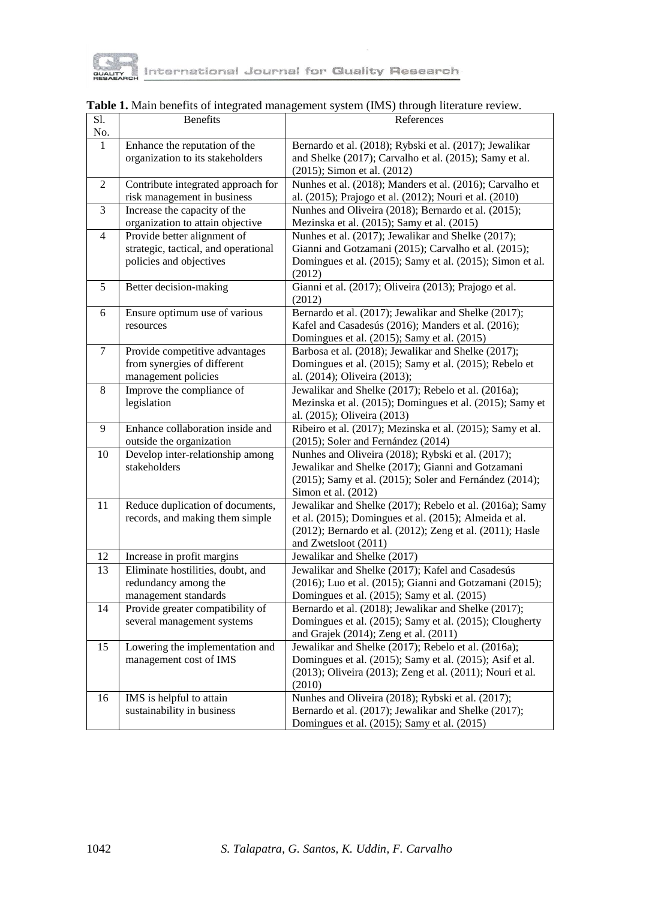

| $\overline{SI}$ .<br>No. | <b>Benefits</b>                      | References                                                 |
|--------------------------|--------------------------------------|------------------------------------------------------------|
| 1                        | Enhance the reputation of the        | Bernardo et al. (2018); Rybski et al. (2017); Jewalikar    |
|                          | organization to its stakeholders     | and Shelke (2017); Carvalho et al. (2015); Samy et al.     |
|                          |                                      | (2015); Simon et al. (2012)                                |
|                          |                                      | Nunhes et al. (2018); Manders et al. (2016); Carvalho et   |
| $\overline{c}$           | Contribute integrated approach for   |                                                            |
|                          | risk management in business          | al. (2015); Prajogo et al. (2012); Nouri et al. (2010)     |
| 3                        | Increase the capacity of the         | Nunhes and Oliveira (2018); Bernardo et al. (2015);        |
|                          | organization to attain objective     | Mezinska et al. (2015); Samy et al. (2015)                 |
| $\overline{4}$           | Provide better alignment of          | Nunhes et al. (2017); Jewalikar and Shelke (2017);         |
|                          | strategic, tactical, and operational | Gianni and Gotzamani (2015); Carvalho et al. (2015);       |
|                          | policies and objectives              | Domingues et al. (2015); Samy et al. (2015); Simon et al.  |
|                          |                                      | (2012)                                                     |
| 5                        | Better decision-making               | Gianni et al. (2017); Oliveira (2013); Prajogo et al.      |
|                          |                                      | (2012)                                                     |
| 6                        | Ensure optimum use of various        | Bernardo et al. (2017); Jewalikar and Shelke (2017);       |
|                          | resources                            | Kafel and Casadesús (2016); Manders et al. (2016);         |
|                          |                                      | Domingues et al. (2015); Samy et al. (2015)                |
| 7                        | Provide competitive advantages       | Barbosa et al. (2018); Jewalikar and Shelke (2017);        |
|                          | from synergies of different          | Domingues et al. (2015); Samy et al. (2015); Rebelo et     |
|                          | management policies                  | al. (2014); Oliveira (2013);                               |
| 8                        | Improve the compliance of            | Jewalikar and Shelke (2017); Rebelo et al. (2016a);        |
|                          |                                      |                                                            |
|                          | legislation                          | Mezinska et al. (2015); Domingues et al. (2015); Samy et   |
|                          |                                      | al. (2015); Oliveira (2013)                                |
| 9                        | Enhance collaboration inside and     | Ribeiro et al. (2017); Mezinska et al. (2015); Samy et al. |
|                          | outside the organization             | (2015); Soler and Fernández (2014)                         |
| 10                       | Develop inter-relationship among     | Nunhes and Oliveira (2018); Rybski et al. (2017);          |
|                          | stakeholders                         | Jewalikar and Shelke (2017); Gianni and Gotzamani          |
|                          |                                      | (2015); Samy et al. (2015); Soler and Fernández (2014);    |
|                          |                                      | Simon et al. $(2012)$                                      |
| 11                       | Reduce duplication of documents,     | Jewalikar and Shelke (2017); Rebelo et al. (2016a); Samy   |
|                          | records, and making them simple      | et al. (2015); Domingues et al. (2015); Almeida et al.     |
|                          |                                      | (2012); Bernardo et al. (2012); Zeng et al. (2011); Hasle  |
|                          |                                      | and Zwetsloot (2011)                                       |
| 12                       | Increase in profit margins           | Jewalikar and Shelke (2017)                                |
| 13                       | Eliminate hostilities, doubt, and    | Jewalikar and Shelke (2017); Kafel and Casadesús           |
|                          | redundancy among the                 | (2016); Luo et al. (2015); Gianni and Gotzamani (2015);    |
|                          | management standards                 | Domingues et al. (2015); Samy et al. (2015)                |
| 14                       | Provide greater compatibility of     | Bernardo et al. (2018); Jewalikar and Shelke (2017);       |
|                          | several management systems           | Domingues et al. (2015); Samy et al. (2015); Clougherty    |
|                          |                                      | and Grajek (2014); Zeng et al. (2011)                      |
| 15                       | Lowering the implementation and      | Jewalikar and Shelke (2017); Rebelo et al. (2016a);        |
|                          | management cost of IMS               | Domingues et al. (2015); Samy et al. (2015); Asif et al.   |
|                          |                                      | (2013); Oliveira (2013); Zeng et al. (2011); Nouri et al.  |
|                          |                                      | (2010)                                                     |
| 16                       |                                      | Nunhes and Oliveira (2018); Rybski et al. (2017);          |
|                          | IMS is helpful to attain             |                                                            |
|                          | sustainability in business           | Bernardo et al. (2017); Jewalikar and Shelke (2017);       |
|                          |                                      | Domingues et al. (2015); Samy et al. (2015)                |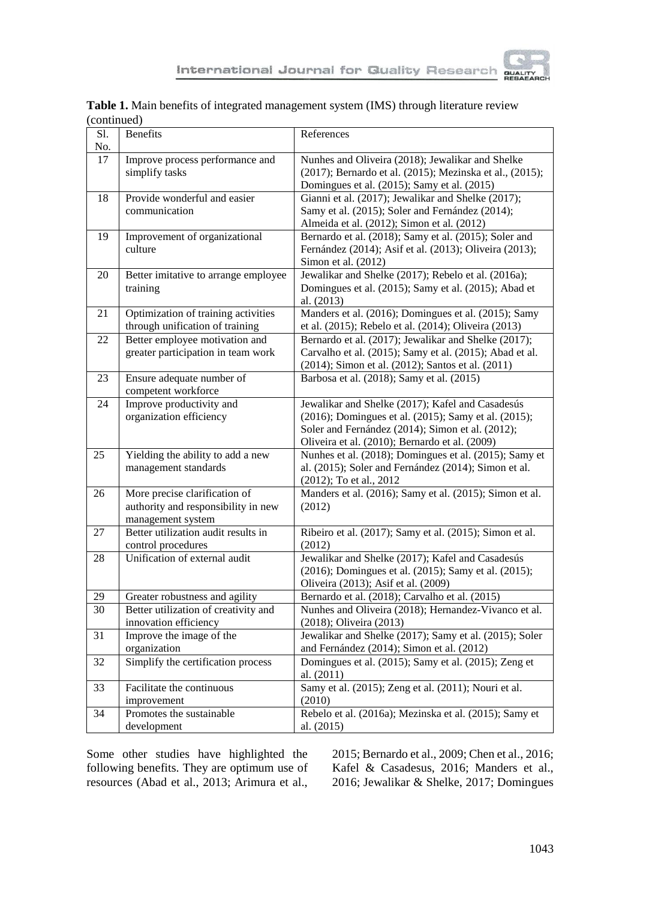

| SI.      | <b>Benefits</b>                                               | References                                                                                               |
|----------|---------------------------------------------------------------|----------------------------------------------------------------------------------------------------------|
| No.      |                                                               |                                                                                                          |
| 17       | Improve process performance and                               | Nunhes and Oliveira (2018); Jewalikar and Shelke                                                         |
|          | simplify tasks                                                | (2017); Bernardo et al. (2015); Mezinska et al., (2015);                                                 |
|          |                                                               | Domingues et al. (2015); Samy et al. (2015)                                                              |
| 18       | Provide wonderful and easier                                  | Gianni et al. (2017); Jewalikar and Shelke (2017);                                                       |
|          | communication                                                 | Samy et al. (2015); Soler and Fernández (2014);                                                          |
| 19       | Improvement of organizational                                 | Almeida et al. (2012); Simon et al. (2012)<br>Bernardo et al. (2018); Samy et al. (2015); Soler and      |
|          | culture                                                       | Fernández (2014); Asif et al. (2013); Oliveira (2013);                                                   |
|          |                                                               | Simon et al. (2012)                                                                                      |
| 20       | Better imitative to arrange employee                          | Jewalikar and Shelke (2017); Rebelo et al. (2016a);                                                      |
|          | training                                                      | Domingues et al. (2015); Samy et al. (2015); Abad et                                                     |
|          |                                                               | al. (2013)                                                                                               |
| 21       | Optimization of training activities                           | Manders et al. (2016); Domingues et al. (2015); Samy                                                     |
|          | through unification of training                               | et al. (2015); Rebelo et al. (2014); Oliveira (2013)                                                     |
| 22       | Better employee motivation and                                | Bernardo et al. (2017); Jewalikar and Shelke (2017);                                                     |
|          | greater participation in team work                            | Carvalho et al. (2015); Samy et al. (2015); Abad et al.                                                  |
|          |                                                               | (2014); Simon et al. (2012); Santos et al. (2011)                                                        |
| 23       | Ensure adequate number of                                     | Barbosa et al. (2018); Samy et al. (2015)                                                                |
|          | competent workforce                                           |                                                                                                          |
| 24       | Improve productivity and                                      | Jewalikar and Shelke (2017); Kafel and Casadesús                                                         |
|          | organization efficiency                                       | (2016); Domingues et al. (2015); Samy et al. (2015);<br>Soler and Fernández (2014); Simon et al. (2012); |
|          |                                                               | Oliveira et al. (2010); Bernardo et al. (2009)                                                           |
| 25       | Yielding the ability to add a new                             | Nunhes et al. (2018); Domingues et al. (2015); Samy et                                                   |
|          | management standards                                          | al. (2015); Soler and Fernández (2014); Simon et al.                                                     |
|          |                                                               | (2012); To et al., 2012                                                                                  |
| 26       | More precise clarification of                                 | Manders et al. (2016); Samy et al. (2015); Simon et al.                                                  |
|          | authority and responsibility in new                           | (2012)                                                                                                   |
|          | management system                                             |                                                                                                          |
| 27       | Better utilization audit results in                           | Ribeiro et al. (2017); Samy et al. (2015); Simon et al.                                                  |
|          | control procedures                                            | (2012)                                                                                                   |
| 28       | Unification of external audit                                 | Jewalikar and Shelke (2017); Kafel and Casadesús                                                         |
|          |                                                               | (2016); Domingues et al. (2015); Samy et al. (2015);                                                     |
|          |                                                               | Oliveira (2013); Asif et al. (2009)                                                                      |
| 29<br>30 | Greater robustness and agility                                | Bernardo et al. (2018); Carvalho et al. (2015)                                                           |
|          | Better utilization of creativity and<br>innovation efficiency | Nunhes and Oliveira (2018); Hernandez-Vivanco et al.<br>(2018); Oliveira (2013)                          |
| 31       | Improve the image of the                                      | Jewalikar and Shelke (2017); Samy et al. (2015); Soler                                                   |
|          | organization                                                  | and Fernández (2014); Simon et al. (2012)                                                                |
| 32       | Simplify the certification process                            | Domingues et al. (2015); Samy et al. (2015); Zeng et                                                     |
|          |                                                               | al. (2011)                                                                                               |
| 33       | Facilitate the continuous                                     | Samy et al. (2015); Zeng et al. (2011); Nouri et al.                                                     |
|          | improvement                                                   | (2010)                                                                                                   |
| 34       | Promotes the sustainable                                      | Rebelo et al. (2016a); Mezinska et al. (2015); Samy et                                                   |
|          | development                                                   | al. (2015)                                                                                               |

| Table 1. Main benefits of integrated management system (IMS) through literature review |  |
|----------------------------------------------------------------------------------------|--|
| (continued)                                                                            |  |

Some other studies have highlighted the following benefits. They are optimum use of resources (Abad et al., 2013; Arimura et al.,

2015; Bernardo et al., 2009; Chen et al., 2016; Kafel & Casadesus, 2016; Manders et al., 2016; Jewalikar & Shelke, 2017; Domingues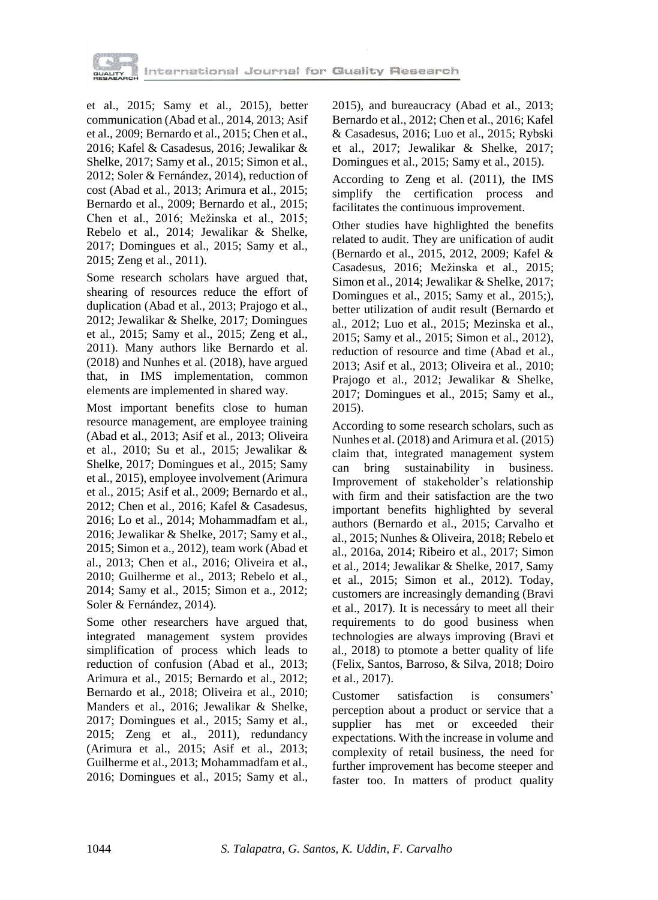

et al., 2015; Samy et al., 2015), better communication (Abad et al., 2014, 2013; Asif et al., 2009; Bernardo et al., 2015; Chen et al., 2016; Kafel & Casadesus, 2016; Jewalikar & Shelke, 2017; Samy et al., 2015; Simon et al., 2012; Soler & Fernández, 2014), reduction of cost (Abad et al., 2013; Arimura et al., 2015; Bernardo et al., 2009; Bernardo et al., 2015; Chen et al., 2016; Mežinska et al., 2015; Rebelo et al., 2014; Jewalikar & Shelke, 2017; Domingues et al., 2015; Samy et al., 2015; Zeng et al., 2011).

Some research scholars have argued that, shearing of resources reduce the effort of duplication (Abad et al., 2013; Prajogo et al., 2012; Jewalikar & Shelke, 2017; Domingues et al., 2015; Samy et al., 2015; Zeng et al., 2011). Many authors like Bernardo et al. (2018) and Nunhes et al. (2018), have argued that, in IMS implementation, common elements are implemented in shared way.

Most important benefits close to human resource management, are employee training (Abad et al., 2013; Asif et al., 2013; Oliveira et al., 2010; Su et al., 2015; Jewalikar & Shelke, 2017; Domingues et al., 2015; Samy et al., 2015), employee involvement (Arimura et al., 2015; Asif et al., 2009; Bernardo et al., 2012; Chen et al., 2016; Kafel & Casadesus, 2016; Lo et al., 2014; Mohammadfam et al., 2016; Jewalikar & Shelke, 2017; Samy et al., 2015; Simon et a., 2012), team work (Abad et al., 2013; Chen et al., 2016; Oliveira et al., 2010; Guilherme et al., 2013; Rebelo et al., 2014; Samy et al., 2015; Simon et a., 2012; Soler & Fernández, 2014).

Some other researchers have argued that, integrated management system provides simplification of process which leads to reduction of confusion (Abad et al., 2013; Arimura et al., 2015; Bernardo et al., 2012; Bernardo et al., 2018; Oliveira et al., 2010; Manders et al., 2016; Jewalikar & Shelke, 2017; Domingues et al., 2015; Samy et al., 2015; Zeng et al., 2011), redundancy (Arimura et al., 2015; Asif et al., 2013; Guilherme et al., 2013; Mohammadfam et al., 2016; Domingues et al., 2015; Samy et al.,

2015), and bureaucracy (Abad et al., 2013; Bernardo et al., 2012; Chen et al., 2016; Kafel & Casadesus, 2016; Luo et al., 2015; Rybski et al., 2017; Jewalikar & Shelke, 2017; Domingues et al., 2015; Samy et al., 2015).

According to Zeng et al. (2011), the IMS simplify the certification process and facilitates the continuous improvement.

Other studies have highlighted the benefits related to audit. They are unification of audit (Bernardo et al., 2015, 2012, 2009; Kafel & Casadesus, 2016; Mežinska et al., 2015; Simon et al., 2014; Jewalikar & Shelke, 2017; Domingues et al., 2015; Samy et al., 2015;), better utilization of audit result (Bernardo et al., 2012; Luo et al., 2015; Mezinska et al., 2015; Samy et al., 2015; Simon et al., 2012), reduction of resource and time (Abad et al., 2013; Asif et al., 2013; Oliveira et al., 2010; Prajogo et al., 2012; Jewalikar & Shelke, 2017; Domingues et al., 2015; Samy et al., 2015).

According to some research scholars, such as Nunhes et al. (2018) and Arimura et al. (2015) claim that, integrated management system can bring sustainability in business. Improvement of stakeholder's relationship with firm and their satisfaction are the two important benefits highlighted by several authors (Bernardo et al., 2015; Carvalho et al., 2015; Nunhes & Oliveira, 2018; Rebelo et al., 2016a, 2014; Ribeiro et al., 2017; Simon et al., 2014; Jewalikar & Shelke, 2017, Samy et al., 2015; Simon et al., 2012). Today, customers are increasingly demanding (Bravi et al., 2017). It is necessáry to meet all their requirements to do good business when technologies are always improving (Bravi et al., 2018) to ptomote a better quality of life (Felix, Santos, Barroso, & Silva, 2018; Doiro et al., 2017).

Customer satisfaction is consumers' perception about a product or service that a supplier has met or exceeded their expectations. With the increase in volume and complexity of retail business, the need for further improvement has become steeper and faster too. In matters of product quality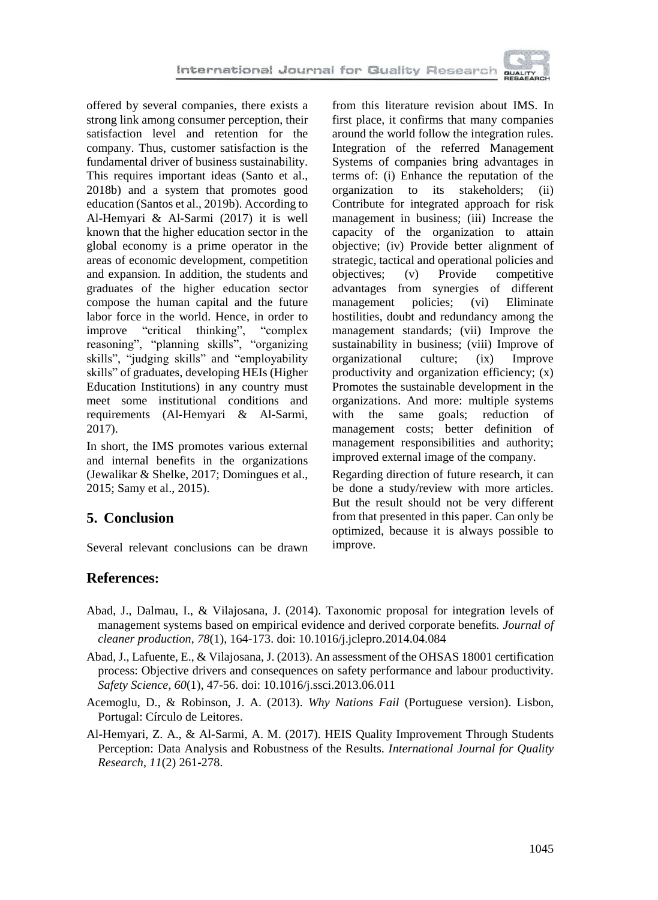

offered by several companies, there exists a strong link among consumer perception, their satisfaction level and retention for the company. Thus, customer satisfaction is the fundamental driver of business sustainability. This requires important ideas (Santo et al., 2018b) and a system that promotes good education (Santos et al., 2019b). According to Al-Hemyari & Al-Sarmi (2017) it is well known that the higher education sector in the global economy is a prime operator in the areas of economic development, competition and expansion. In addition, the students and graduates of the higher education sector compose the human capital and the future labor force in the world. Hence, in order to<br>improve "critical thinking". "complex" improve "critical thinking", reasoning", "planning skills", "organizing skills", "judging skills" and "employability skills" of graduates, developing HEIs (Higher Education Institutions) in any country must meet some institutional conditions and requirements (Al-Hemyari & Al-Sarmi, 2017).

In short, the IMS promotes various external and internal benefits in the organizations (Jewalikar & Shelke, 2017; Domingues et al., 2015; Samy et al., 2015).

## **5. Conclusion**

Several relevant conclusions can be drawn

from this literature revision about IMS. In first place, it confirms that many companies around the world follow the integration rules. Integration of the referred Management Systems of companies bring advantages in terms of: (i) Enhance the reputation of the organization to its stakeholders; (ii) Contribute for integrated approach for risk management in business; (iii) Increase the capacity of the organization to attain objective; (iv) Provide better alignment of strategic, tactical and operational policies and objectives; (v) Provide competitive advantages from synergies of different management policies; (vi) Eliminate hostilities, doubt and redundancy among the management standards; (vii) Improve the sustainability in business; (viii) Improve of organizational culture; (ix) Improve productivity and organization efficiency; (x) Promotes the sustainable development in the organizations. And more: multiple systems with the same goals; reduction of management costs; better definition of management responsibilities and authority; improved external image of the company.

Regarding direction of future research, it can be done a study/review with more articles. But the result should not be very different from that presented in this paper. Can only be optimized, because it is always possible to improve.

## **References:**

- Abad, J., Dalmau, I., & Vilajosana, J. (2014). Taxonomic proposal for integration levels of management systems based on empirical evidence and derived corporate benefits*. Journal of cleaner production*, *78*(1), 164-173. doi: 10.1016/j.jclepro.2014.04.084
- Abad, J., Lafuente, E., & Vilajosana, J. (2013). An assessment of the OHSAS 18001 certification process: Objective drivers and consequences on safety performance and labour productivity. *Safety Science*, *60*(1), 47-56. doi: 10.1016/j.ssci.2013.06.011
- Acemoglu, D., & Robinson, J. A. (2013). *Why Nations Fail* (Portuguese version). Lisbon, Portugal: Círculo de Leitores.
- Al-Hemyari, Z. A., & Al-Sarmi, A. M. (2017). HEIS Quality Improvement Through Students Perception: Data Analysis and Robustness of the Results. *International Journal for Quality Research*, *11*(2) 261-278.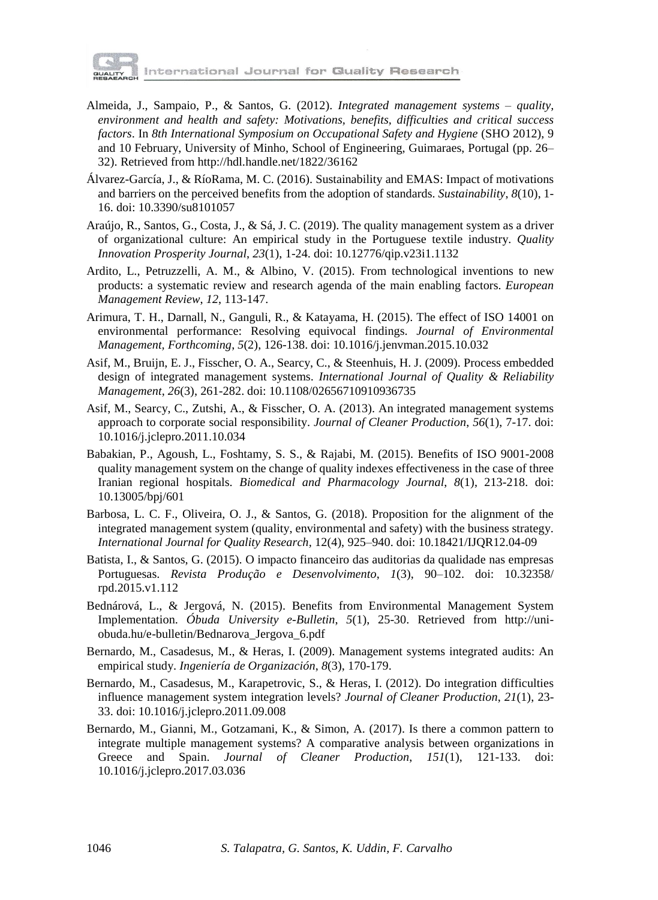

International Journal for Quality Research

- Almeida, J., Sampaio, P., & Santos, G. (2012). *Integrated management systems – quality, environment and health and safety: Motivations, benefits, difficulties and critical success factors*. In *8th International Symposium on Occupational Safety and Hygiene* (SHO 2012), 9 and 10 February, University of Minho, School of Engineering, Guimaraes, Portugal (pp. 26– 32). Retrieved from http://hdl.handle.net/1822/36162
- Álvarez-García, J., & RíoRama, M. C. (2016). Sustainability and EMAS: Impact of motivations and barriers on the perceived benefits from the adoption of standards. *Sustainability*, *8*(10), 1- 16. doi: 10.3390/su8101057
- Araújo, R., Santos, G., Costa, J., & Sá, J. C. (2019). The quality management system as a driver of organizational culture: An empirical study in the Portuguese textile industry. *Quality Innovation Prosperity Journal*, *23*(1), 1-24. doi: 10.12776/qip.v23i1.1132
- Ardito, L., Petruzzelli, A. M., & Albino, V. (2015). From technological inventions to new products: a systematic review and research agenda of the main enabling factors. *European Management Review*, *12*, 113-147.
- Arimura, T. H., Darnall, N., Ganguli, R., & Katayama, H. (2015). The effect of ISO 14001 on environmental performance: Resolving equivocal findings. *Journal of Environmental Management, Forthcoming*, *5*(2), 126-138. doi: 10.1016/j.jenvman.2015.10.032
- Asif, M., Bruijn, E. J., Fisscher, O. A., Searcy, C., & Steenhuis, H. J. (2009). Process embedded design of integrated management systems. *International Journal of Quality & Reliability Management*, *26*(3), 261-282. doi: 10.1108/02656710910936735
- Asif, M., Searcy, C., Zutshi, A., & Fisscher, O. A. (2013). An integrated management systems approach to corporate social responsibility. *Journal of Cleaner Production*, *56*(1), 7-17. doi: 10.1016/j.jclepro.2011.10.034
- Babakian, P., Agoush, L., Foshtamy, S. S., & Rajabi, M. (2015). Benefits of ISO 9001-2008 quality management system on the change of quality indexes effectiveness in the case of three Iranian regional hospitals. *Biomedical and Pharmacology Journal*, *8*(1), 213-218. doi: 10.13005/bpj/601
- Barbosa, L. C. F., Oliveira, O. J., & Santos, G. (2018). Proposition for the alignment of the integrated management system (quality, environmental and safety) with the business strategy. *International Journal for Quality Research,* 12(4), 925–940. doi: 10.18421/IJQR12.04-09
- Batista, I., & Santos, G. (2015). O impacto financeiro das auditorias da qualidade nas empresas Portuguesas. *Revista Produção e Desenvolvimento*, *1*(3), 90–102. doi: 10.32358/ rpd.2015.v1.112
- Bednárová, L., & Jergová, N. (2015). Benefits from Environmental Management System Implementation. *Óbuda University e-Bulletin*, *5*(1), 25-30. Retrieved from http://uniobuda.hu/e-bulletin/Bednarova\_Jergova\_6.pdf
- Bernardo, M., Casadesus, M., & Heras, I. (2009). Management systems integrated audits: An empirical study. *Ingeniería de Organización*, *8*(3), 170-179.
- Bernardo, M., Casadesus, M., Karapetrovic, S., & Heras, I. (2012). Do integration difficulties influence management system integration levels? *Journal of Cleaner Production*, *21*(1), 23- 33. doi: 10.1016/j.jclepro.2011.09.008
- Bernardo, M., Gianni, M., Gotzamani, K., & Simon, A. (2017). Is there a common pattern to integrate multiple management systems? A comparative analysis between organizations in Greece and Spain. *Journal of Cleaner Production*, *151*(1), 121-133. doi: 10.1016/j.jclepro.2017.03.036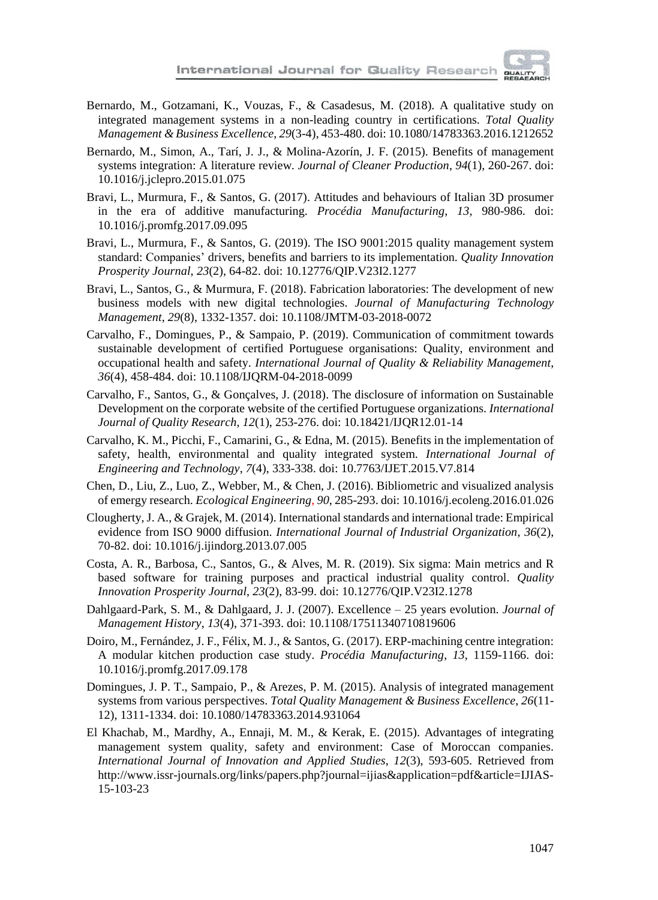

- Bernardo, M., Gotzamani, K., Vouzas, F., & Casadesus, M. (2018). A qualitative study on integrated management systems in a non-leading country in certifications. *Total Quality Management & Business Excellence*, *29*(3-4), 453-480. doi: 10.1080/14783363.2016.1212652
- Bernardo, M., Simon, A., Tarí, J. J., & Molina-Azorín, J. F. (2015). Benefits of management systems integration: A literature review. *Journal of Cleaner Production*, *94*(1), 260-267. doi: 10.1016/j.jclepro.2015.01.075
- Bravi, L., Murmura, F., & Santos, G. (2017). Attitudes and behaviours of Italian 3D prosumer in the era of additive manufacturing. *Procédia Manufacturing*, *[13](http://www.sciencedirect.com/science/journal/23519789/13/supp/C)*, 980-986. doi: 10.1016/j.promfg.2017.09.095
- Bravi, L., Murmura, F., & Santos, G. (2019). The ISO 9001:2015 quality management system standard: Companies' drivers, benefits and barriers to its implementation. *Quality Innovation Prosperity Journal*, *23*(2), 64-82. doi: 10.12776/QIP.V23I2.1277
- Bravi, L., Santos, G., & Murmura, F. (2018). Fabrication laboratories: The [development](https://www.emeraldinsight.com/doi/full/10.1108/JMTM-03-2018-0072) of new business models with new digital [technologies.](https://www.emeraldinsight.com/doi/full/10.1108/JMTM-03-2018-0072) *Journal of Manufacturing Technology Management*, *29*(8), 1332-1357. doi: 10.1108/JMTM-03-2018-0072
- Carvalho, F., Domingues, P., & Sampaio, P. (2019). Communication of commitment towards sustainable development of certified Portuguese organisations: Quality, environment and occupational health and safety. *International Journal of Quality & Reliability Management*, *36*(4), 458-484. doi: 10.1108/IJQRM-04-2018-0099
- Carvalho, F., Santos, G., & Gonçalves, J. (2018). The disclosure of information on Sustainable Development on the corporate website of the certified Portuguese organizations. *International Journal of Quality Research*, *12*(1), 253-276. doi: 10.18421/IJQR12.01-14
- Carvalho, K. M., Picchi, F., Camarini, G., & Edna, M. (2015). Benefits in the implementation of safety, health, environmental and quality integrated system. *International Journal of Engineering and Technology*, *7*(4), 333-338. doi: 10.7763/IJET.2015.V7.814
- Chen, D., Liu, Z., Luo, Z., Webber, M., & Chen, J. (2016). Bibliometric and visualized analysis of emergy research. *Ecological Engineering*, *90*, 285-293. doi: 10.1016/j.ecoleng.2016.01.026
- Clougherty, J. A., & Grajek, M. (2014). International standards and international trade: Empirical evidence from ISO 9000 diffusion. *International Journal of Industrial Organization*, *36*(2), 70-82. doi: 10.1016/j.ijindorg.2013.07.005
- Costa, A. R., Barbosa, C., Santos, G., & Alves, M. R. (2019). Six sigma: Main metrics and R based software for training purposes and practical industrial quality control. *Quality Innovation Prosperity Journal*, *23*(2), 83-99. doi: 10.12776/QIP.V23I2.1278
- Dahlgaard-Park, S. M., & Dahlgaard, J. J. (2007). Excellence 25 years evolution. *Journal of Management History*, *13*(4), 371-393. doi: 10.1108/17511340710819606
- Doiro, M., Fernández, J. F., Félix, M. J., & Santos, G. (2017). ERP-machining centre integration: A modular kitchen production case study. *Procédia Manufacturing*, *13*, 1159-1166. doi: 10.1016/j.promfg.2017.09.178
- Domingues, J. P. T., Sampaio, P., & Arezes, P. M. (2015). Analysis of integrated management systems from various perspectives. *Total Quality Management & Business Excellence*, *26*(11- 12), 1311-1334. doi: 10.1080/14783363.2014.931064
- El Khachab, M., Mardhy, A., Ennaji, M. M., & Kerak, E. (2015). Advantages of integrating management system quality, safety and environment: Case of Moroccan companies. *International Journal of Innovation and Applied Studies*, *12*(3), 593-605. Retrieved from http://www.issr-journals.org/links/papers.php?journal=ijias&application=pdf&article=IJIAS-15-103-23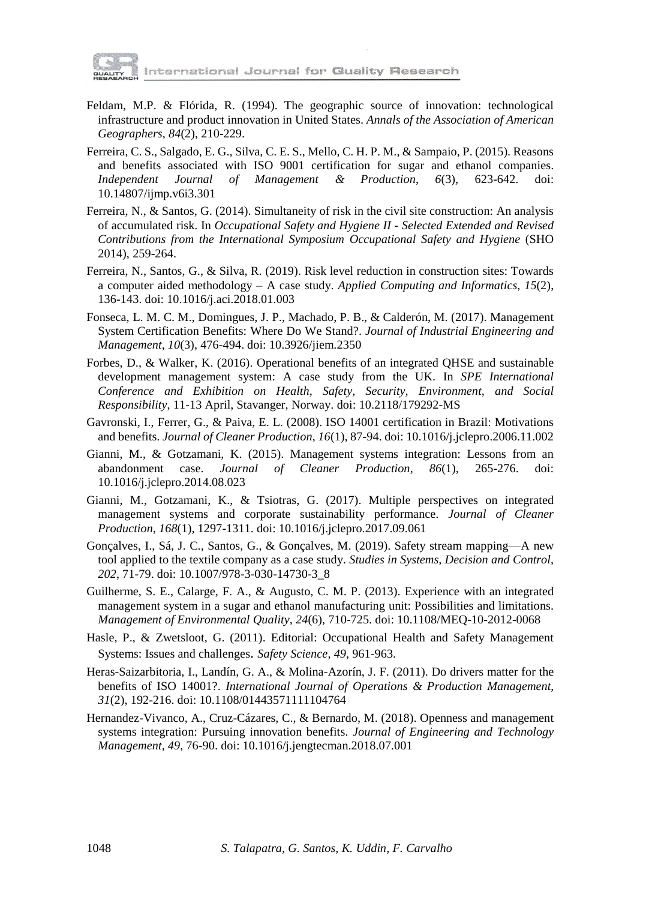

International Journal for Quality Research

- Feldam, M.P. & Flórida, R. (1994). The geographic source of innovation: technological infrastructure and product innovation in United States. *Annals of the Association of American Geographers*, *84*(2), 210-229.
- Ferreira, C. S., Salgado, E. G., Silva, C. E. S., Mello, C. H. P. M., & Sampaio, P. (2015). Reasons and benefits associated with ISO 9001 certification for sugar and ethanol companies. *Independent Journal of Management & Production*, *6*(3), 623-642. doi: 10.14807/ijmp.v6i3.301
- Ferreira, N., & Santos, G. (2014). Simultaneity of risk in the civil site construction: An analysis of accumulated risk. In *Occupational Safety and Hygiene II - Selected Extended and Revised Contributions from the International Symposium Occupational Safety and Hygiene* (SHO 2014), 259-264.
- Ferreira, N., Santos, G., & Silva, R. (2019). Risk level reduction in construction sites: Towards a computer aided methodology – A case study. *Applied Computing and Informatics*, *15*(2), 136-143. doi: 10.1016/j.aci.2018.01.003
- Fonseca, L. M. C. M., Domingues, J. P., Machado, P. B., & Calderón, M. (2017). Management System Certification Benefits: Where Do We Stand?. *Journal of Industrial Engineering and Management*, *10*(3), 476-494. doi: 10.3926/jiem.2350
- Forbes, D., & Walker, K. (2016). Operational benefits of an integrated QHSE and sustainable development management system: A case study from the UK. In *SPE International Conference and Exhibition on Health, Safety, Security, Environment, and Social Responsibility*, 11-13 April, Stavanger, Norway. doi: 10.2118/179292-MS
- Gavronski, I., Ferrer, G., & Paiva, E. L. (2008). ISO 14001 certification in Brazil: Motivations and benefits. *Journal of Cleaner Production*, *16*(1), 87-94. doi: 10.1016/j.jclepro.2006.11.002
- Gianni, M., & Gotzamani, K. (2015). Management systems integration: Lessons from an abandonment case. *Journal of Cleaner Production*, *86*(1), 265-276. doi: 10.1016/j.jclepro.2014.08.023
- Gianni, M., Gotzamani, K., & Tsiotras, G. (2017). Multiple perspectives on integrated management systems and corporate sustainability performance. *Journal of Cleaner Production*, *168*(1), 1297-1311. doi: 10.1016/j.jclepro.2017.09.061
- Gonçalves, I., Sá, J. C., Santos, G., & Gonçalves, M. (2019). Safety stream mapping—A new tool applied to the textile company as a case study. *Studies in Systems, Decision and Control*, *202*, 71-79. doi: 10.1007/978-3-030-14730-3\_8
- Guilherme, S. E., Calarge, F. A., & Augusto, C. M. P. (2013). Experience with an integrated management system in a sugar and ethanol manufacturing unit: Possibilities and limitations. *Management of Environmental Quality*, *24*(6), 710-725. doi: 10.1108/MEQ-10-2012-0068
- Hasle, P., & Zwetsloot, G. (2011). Editorial: Occupational Health and Safety Management Systems: Issues and challenges. *Safety Science*, *49*, 961-963.
- Heras-Saizarbitoria, I., Landín, G. A., & Molina-Azorín, J. F. (2011). Do drivers matter for the benefits of ISO 14001?. *International Journal of Operations & Production Management*, *31*(2), 192-216. doi: 10.1108/01443571111104764
- Hernandez-Vivanco, A., Cruz-Cázares, C., & Bernardo, M. (2018). Openness and management systems integration: Pursuing innovation benefits. *Journal of Engineering and Technology Management*, *49*, 76-90. doi: 10.1016/j.jengtecman.2018.07.001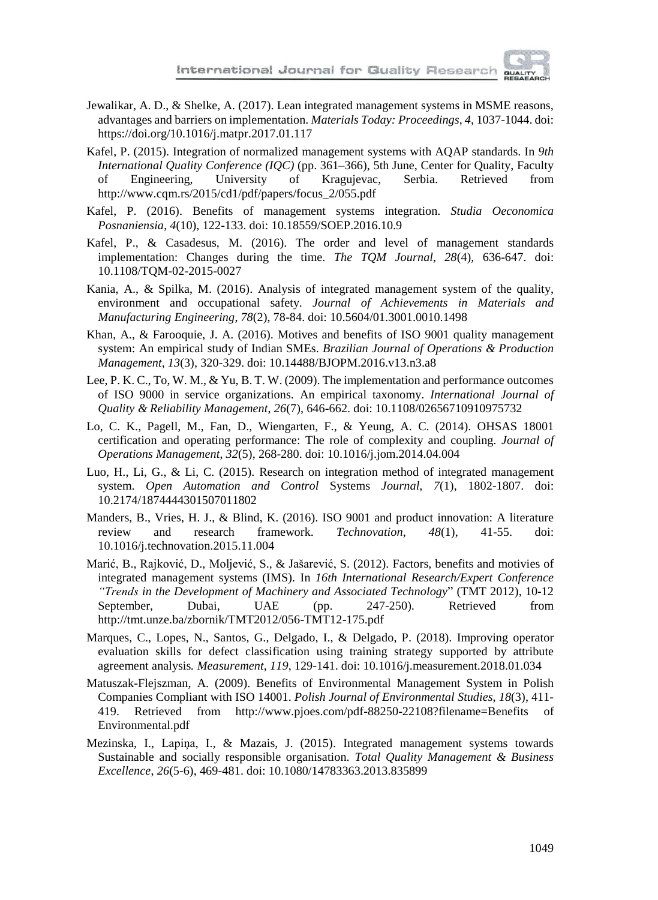

- Jewalikar, A. D., & Shelke, A. (2017). Lean integrated management systems in MSME reasons, advantages and barriers on implementation. *Materials Today: Proceedings*, *4*, 1037-1044. doi: https://doi.org/10.1016/j.matpr.2017.01.117
- Kafel, P. (2015). Integration of normalized management systems with AQAP standards. In *9th International Quality Conference (IQC)* (pp. 361–366), 5th June, Center for Quality, Faculty of Engineering, University of Kragujevac, Serbia. Retrieved from http://www.cqm.rs/2015/cd1/pdf/papers/focus\_2/055.pdf
- Kafel, P. (2016). Benefits of management systems integration. *Studia Oeconomica Posnaniensia*, *4*(10), 122-133. doi: 10.18559/SOEP.2016.10.9
- Kafel, P., & Casadesus, M. (2016). The order and level of management standards implementation: Changes during the time. *The TQM Journal*, *28*(4), 636-647. doi: 10.1108/TQM-02-2015-0027
- Kania, A., & Spilka, M. (2016). Analysis of integrated management system of the quality, environment and occupational safety. *Journal of Achievements in Materials and Manufacturing Engineering*, *78*(2), 78-84. doi: 10.5604/01.3001.0010.1498
- Khan, A., & Farooquie, J. A. (2016). Motives and benefits of ISO 9001 quality management system: An empirical study of Indian SMEs. *Brazilian Journal of Operations & Production Management*, *13*(3), 320-329. doi: 10.14488/BJOPM.2016.v13.n3.a8
- Lee, P. K. C., To, W. M., & Yu, B. T. W. (2009). The implementation and performance outcomes of ISO 9000 in service organizations. An empirical taxonomy. *International Journal of Quality & Reliability Management*, *26*(7), 646-662. doi: 10.1108/02656710910975732
- Lo, C. K., Pagell, M., Fan, D., Wiengarten, F., & Yeung, A. C. (2014). OHSAS 18001 certification and operating performance: The role of complexity and coupling. *Journal of Operations Management*, *32*(5), 268-280. doi: 10.1016/j.jom.2014.04.004
- Luo, H., Li, G., & Li, C. (2015). Research on integration method of integrated management system. *Open Automation and Control* Systems *Journal*, *7*(1), 1802-1807. doi: 10.2174/1874444301507011802
- Manders, B., Vries, H. J., & Blind, K. (2016). ISO 9001 and product innovation: A literature review and research framework. *Technovation*, *48*(1), 41-55. doi: 10.1016/j.technovation.2015.11.004
- Marić, B., Rajković, D., Moljević, S., & Jašarević, S. (2012). Factors, benefits and motivies of integrated management systems (IMS). In *16th International Research/Expert Conference "Trends in the Development of Machinery and Associated Technology*" (TMT 2012), 10-12 September, Dubai, UAE (pp. 247-250). Retrieved from http://tmt.unze.ba/zbornik/TMT2012/056-TMT12-175.pdf
- Marques, C., Lopes, N., Santos, G., Delgado, I., & Delgado, P. (2018). Improving operator evaluation skills for defect classification using training strategy supported by attribute agreement analysis*. Measurement*, *119*, 129-141. doi: 10.1016/j.measurement.2018.01.034
- Matuszak-Flejszman, A. (2009). Benefits of Environmental Management System in Polish Companies Compliant with ISO 14001. *Polish Journal of Environmental Studies*, *18*(3), 411- 419. Retrieved from http://www.pjoes.com/pdf-88250-22108?filename=Benefits of Environmental.pdf
- Mezinska, I., Lapiņa, I., & Mazais, J. (2015). Integrated management systems towards Sustainable and socially responsible organisation. *Total Quality Management & Business Excellence*, *26*(5-6), 469-481. doi: 10.1080/14783363.2013.835899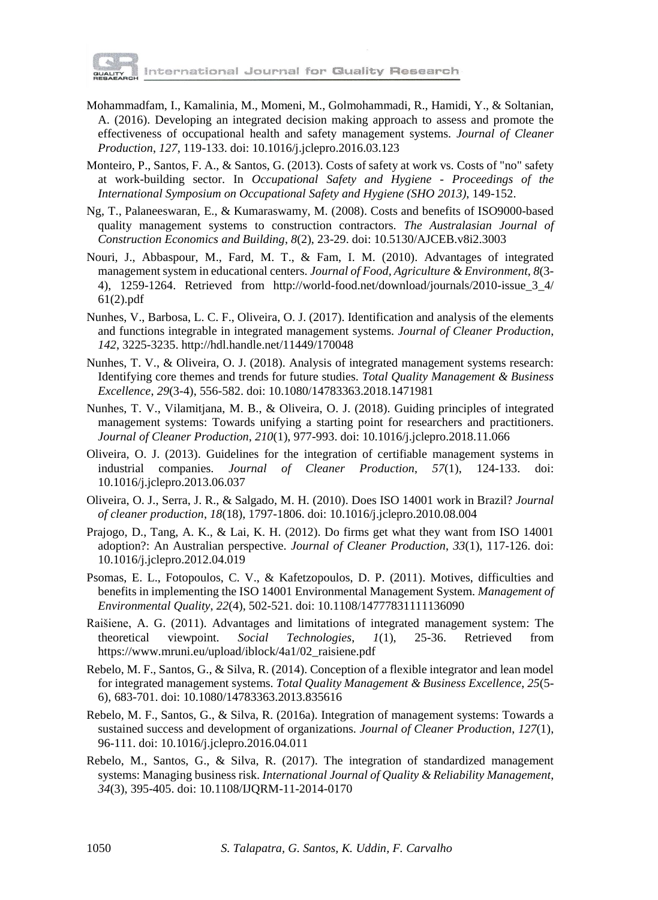

- Mohammadfam, I., Kamalinia, M., Momeni, M., Golmohammadi, R., Hamidi, Y., & Soltanian, A. (2016). Developing an integrated decision making approach to assess and promote the effectiveness of occupational health and safety management systems. *Journal of Cleaner Production*, *127*, 119-133. doi: 10.1016/j.jclepro.2016.03.123
- Monteiro, P., Santos, F. A., & Santos, G. (2013). Costs of safety at work vs. Costs of "no" safety at work-building sector. In *Occupational Safety and Hygiene - Proceedings of the International Symposium on Occupational Safety and Hygiene (SHO 2013)*, 149-152.
- Ng, T., Palaneeswaran, E., & Kumaraswamy, M. (2008). Costs and benefits of ISO9000-based quality management systems to construction contractors. *The Australasian Journal of Construction Economics and Building*, *8*(2), 23-29. doi: 10.5130/AJCEB.v8i2.3003
- Nouri, J., Abbaspour, M., Fard, M. T., & Fam, I. M. (2010). Advantages of integrated management system in educational centers. *Journal of Food, Agriculture & Environment*, *8*(3- 4), 1259-1264. Retrieved from http://world-food.net/download/journals/2010-issue\_3\_4/ 61(2).pdf
- Nunhes, V., Barbosa, L. C. F., Oliveira, O. J. (2017). Identification and analysis of the elements and functions integrable in integrated management systems. *Journal of Cleaner Production*, *142*, 3225-3235. <http://hdl.handle.net/11449/170048>
- Nunhes, T. V., & Oliveira, O. J. (2018). Analysis of integrated management systems research: Identifying core themes and trends for future studies. *Total Quality Management & Business Excellence*, *29*(3-4), 556-582. doi: 10.1080/14783363.2018.1471981
- Nunhes, T. V., Vilamitjana, M. B., & Oliveira, O. J. (2018). Guiding principles of integrated management systems: Towards unifying a starting point for researchers and practitioners. *Journal of Cleaner Production*, *210*(1), 977-993. doi: 10.1016/j.jclepro.2018.11.066
- Oliveira, O. J. (2013). Guidelines for the integration of certifiable management systems in industrial companies. *Journal of Cleaner Production*, *57*(1), 124-133. doi: 10.1016/j.jclepro.2013.06.037
- Oliveira, O. J., Serra, J. R., & Salgado, M. H. (2010). Does ISO 14001 work in Brazil? *Journal of cleaner production*, *18*(18), 1797-1806. doi: 10.1016/j.jclepro.2010.08.004
- Prajogo, D., Tang, A. K., & Lai, K. H. (2012). Do firms get what they want from ISO 14001 adoption?: An Australian perspective. *Journal of Cleaner Production*, *33*(1), 117-126. doi: 10.1016/j.jclepro.2012.04.019
- Psomas, E. L., Fotopoulos, C. V., & Kafetzopoulos, D. P. (2011). Motives, difficulties and benefits in implementing the ISO 14001 Environmental Management System. *Management of Environmental Quality*, *22*(4), 502-521. doi: 10.1108/14777831111136090
- Raišiene, A. G. (2011). Advantages and limitations of integrated management system: The theoretical viewpoint. *Social Technologies*, *1*(1), 25-36. Retrieved from https://www.mruni.eu/upload/iblock/4a1/02\_raisiene.pdf
- Rebelo, M. F., Santos, G., & Silva, R. (2014). Conception of a flexible integrator and lean model for integrated management systems. *Total Quality Management & Business Excellence*, *25*(5- 6), 683-701. doi: 10.1080/14783363.2013.835616
- Rebelo, M. F., Santos, G., & Silva, R. (2016a). Integration of management systems: Towards a sustained success and development of organizations. *Journal of Cleaner Production*, *127*(1), 96-111. doi: 10.1016/j.jclepro.2016.04.011
- Rebelo, M., Santos, G., & Silva, R. (2017). The integration of standardized management systems: Managing business risk. *International Journal of Quality & Reliability Management*, *34*(3), 395-405. doi: 10.1108/IJQRM-11-2014-0170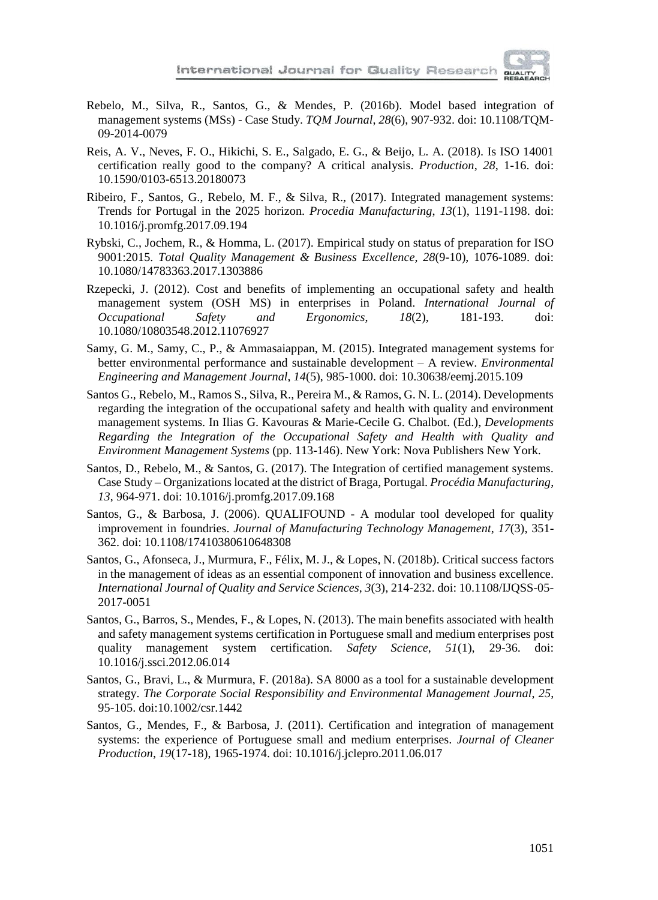

- Rebelo, M., Silva, R., Santos, G., & Mendes, P. (2016b). Model based integration of management systems (MSs) - Case Study. *TQM Journal*, *28*(6), 907-932. doi: 10.1108/TQM-09-2014-0079
- Reis, A. V., Neves, F. O., Hikichi, S. E., Salgado, E. G., & Beijo, L. A. (2018). Is ISO 14001 certification really good to the company? A critical analysis. *Production*, *28*, 1-16. doi: 10.1590/0103-6513.20180073
- Ribeiro, F., Santos, G., Rebelo, M. F., & Silva, R., (2017). Integrated management systems: Trends for Portugal in the 2025 horizon. *Procedia Manufacturing*, *13*(1), 1191-1198. doi: 10.1016/j.promfg.2017.09.194
- Rybski, C., Jochem, R., & Homma, L. (2017). Empirical study on status of preparation for ISO 9001:2015. *Total Quality Management & Business Excellence*, *28*(9-10), 1076-1089. doi: 10.1080/14783363.2017.1303886
- Rzepecki, J. (2012). Cost and benefits of implementing an occupational safety and health management system (OSH MS) in enterprises in Poland. *International Journal of Occupational Safety and Ergonomics*, *18*(2), 181-193. doi: 10.1080/10803548.2012.11076927
- Samy, G. M., Samy, C., P., & Ammasaiappan, M. (2015). Integrated management systems for better environmental performance and sustainable development – A review. *Environmental Engineering and Management Journal*, *14*(5), 985-1000. doi: 10.30638/eemj.2015.109
- Santos G., Rebelo, M., Ramos S., Silva, R., Pereira M., & Ramos, G. N. L. (2014). Developments regarding the integration of the occupational safety and health with quality and environment management systems. In Ilias G. Kavouras & Marie-Cecile G. Chalbot. (Ed.), *Developments Regarding the Integration of the Occupational Safety and Health with Quality and Environment Management Systems* (pp. 113-146). New York: Nova Publishers New York.
- Santos, D., Rebelo, M., & Santos, G. (2017). The Integration of certified management systems. Case Study – Organizations located at the district of Braga, Portugal. *Procédia Manufacturing*, *13*, 964-971. doi: 10.1016/j.promfg.2017.09.168
- Santos, G., & Barbosa, J. (2006). QUALIFOUND A modular tool developed for quality improvement in foundries. *Journal of Manufacturing Technology Management*, *17*(3), 351- 362. doi: 10.1108/17410380610648308
- Santos, G., Afonseca, J., Murmura, F., Félix, M. J., & Lopes, N. (2018b). Critical success factors in the management of ideas as an essential component of innovation and business excellence. *International Journal of Quality and Service Sciences*, *3*(3), 214-232. doi: 10.1108/IJQSS-05- 2017-0051
- Santos, G., Barros, S., Mendes, F., & Lopes, N. (2013). The main benefits associated with health and safety management systems certification in Portuguese small and medium enterprises post quality management system certification. *Safety Science*, *51*(1), 29-36. doi: 10.1016/j.ssci.2012.06.014
- Santos, G., Bravi, L., & Murmura, F. (2018a). SA 8000 as a tool for a sustainable development strategy. *The Corporate Social Responsibility and Environmental Management Journal*, *25*, 95-105. doi:10.1002/csr.1442
- Santos, G., Mendes, F., & Barbosa, J. (2011). Certification and integration of management systems: the experience of Portuguese small and medium enterprises. *Journal of Cleaner Production*, *19*(17-18), 1965-1974. doi: 10.1016/j.jclepro.2011.06.017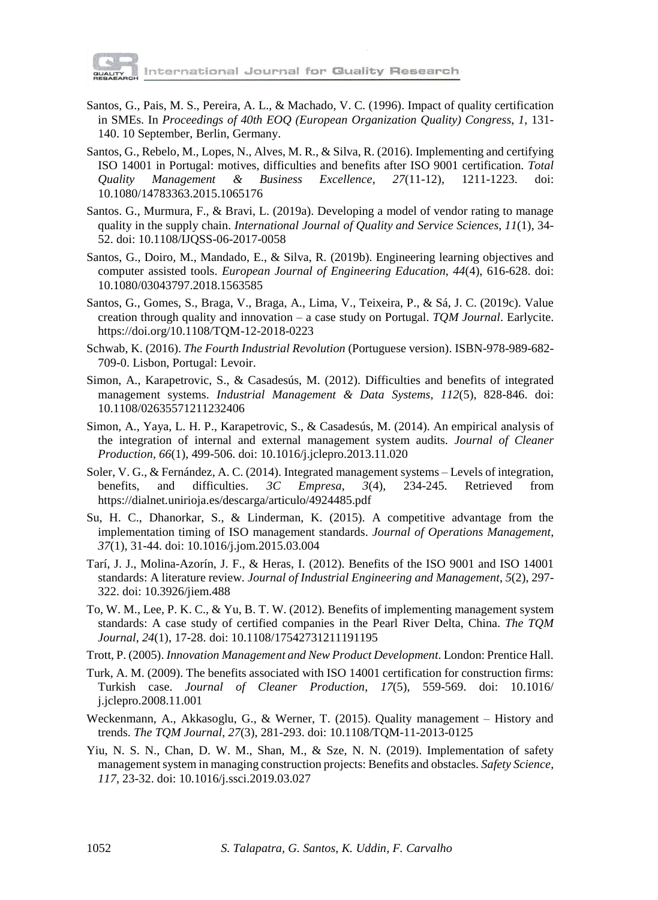

- Santos, G., Pais, M. S., Pereira, A. L., & Machado, V. C. (1996). Impact of quality certification in SMEs. In *Proceedings of 40th EOQ (European Organization Quality) Congress*, *1*, 131- 140. 10 September, Berlin, Germany.
- Santos, G., Rebelo, M., Lopes, N., Alves, M. R., & Silva, R. (2016). Implementing and certifying ISO 14001 in Portugal: motives, difficulties and benefits after ISO 9001 certification. *Total Quality Management & Business Excellence*, *27*(11-12), 1211-1223. doi: 10.1080/14783363.2015.1065176
- Santos. G., Murmura, F., & Bravi, L. (2019a). Developing a model of vendor rating to manage quality in the supply chain. *International Journal of Quality and Service Sciences*, *11*(1), 34- 52. doi: 10.1108/IJQSS-06-2017-0058
- Santos, G., Doiro, M., Mandado, E., & Silva, R. (2019b). [Engineering](https://www.tandfonline.com/doi/full/10.1080/03043797.2018.1563585) learning objectives and [computer](https://www.tandfonline.com/doi/full/10.1080/03043797.2018.1563585) assisted tools. *European Journal of Engineering Education*, *44*(4), 616-628. doi: [10.1080/03043797.2018.1563585](https://doi.org/10.1080/03043797.2018.1563585)
- Santos, G., Gomes, S., Braga, V., Braga, A., Lima, V., Teixeira, P., & Sá, J. C. (2019c). Value creation through quality and innovation – a case study on Portugal. *TQM Journal*. Earlycite. https://doi.org/10.1108/TQM-12-2018-0223
- Schwab, K. (2016). *The Fourth Industrial Revolution* (Portuguese version). ISBN-978-989-682- 709-0. Lisbon, Portugal: Levoir.
- Simon, A., Karapetrovic, S., & Casadesús, M. (2012). Difficulties and benefits of integrated management systems. *Industrial Management & Data Systems*, *112*(5), 828-846. doi: 10.1108/02635571211232406
- Simon, A., Yaya, L. H. P., Karapetrovic, S., & Casadesús, M. (2014). An empirical analysis of the integration of internal and external management system audits. *Journal of Cleaner Production*, *66*(1), 499-506. doi: 10.1016/j.jclepro.2013.11.020
- Soler, V. G., & Fernández, A. C. (2014). Integrated management systems Levels of integration, benefits, and difficulties. *3C Empresa*, *3*(4), 234-245. Retrieved from https://dialnet.unirioja.es/descarga/articulo/4924485.pdf
- Su, H. C., Dhanorkar, S., & Linderman, K. (2015). A competitive advantage from the implementation timing of ISO management standards. *Journal of Operations Management*, *37*(1), 31-44. doi: 10.1016/j.jom.2015.03.004
- Tarí, J. J., Molina-Azorín, J. F., & Heras, I. (2012). Benefits of the ISO 9001 and ISO 14001 standards: A literature review. *Journal of Industrial Engineering and Management*, *5*(2), 297- 322. doi: 10.3926/jiem.488
- To, W. M., Lee, P. K. C., & Yu, B. T. W. (2012). Benefits of implementing management system standards: A case study of certified companies in the Pearl River Delta, China. *The TQM Journal*, *24*(1), 17-28. doi: 10.1108/17542731211191195
- Trott, P. (2005). *Innovation Management and New Product Development*. London: Prentice Hall.
- Turk, A. M. (2009). The benefits associated with ISO 14001 certification for construction firms: Turkish case. *Journal of Cleaner Production*, *17*(5), 559-569. doi: 10.1016/ j.jclepro.2008.11.001
- Weckenmann, A., Akkasoglu, G., & Werner, T. (2015). Quality management History and trends. *The TQM Journal*, *27*(3), 281-293. doi: 10.1108/TQM-11-2013-0125
- Yiu, N. S. N., Chan, D. W. M., Shan, M., & Sze, N. N. (2019). Implementation of safety management system in managing construction projects: Benefits and obstacles. *Safety Science*, *117*, 23-32. doi: 10.1016/j.ssci.2019.03.027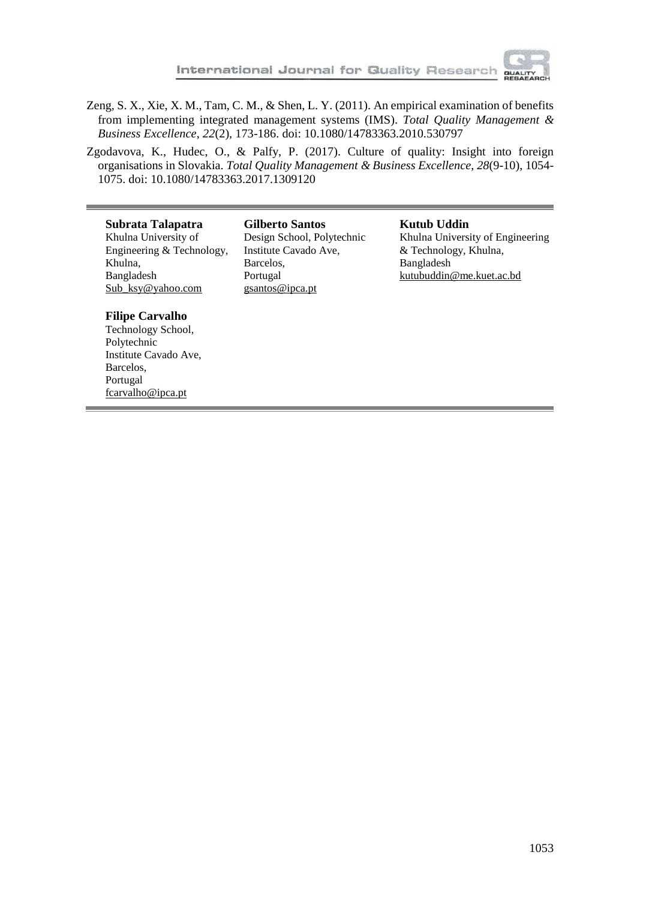

Zeng, S. X., Xie, X. M., Tam, C. M., & Shen, L. Y. (2011). An empirical examination of benefits from implementing integrated management systems (IMS). *Total Quality Management & Business Excellence*, *22*(2), 173-186. doi: 10.1080/14783363.2010.530797

Zgodavova, K., Hudec, O., & Palfy, P. (2017). Culture of quality: Insight into foreign organisations in Slovakia. *Total Quality Management & Business Excellence*, *28*(9-10), 1054- 1075. doi: [10.1080/14783363.2017.1309120](https://doi.org/10.1080/14783363.2017.1309120)

#### **Subrata Talapatra**

Khulna University of Engineering & Technology, Khulna, Bangladesh Sub\_ksy@yahoo.com

**Gilberto Santos** Design School, Polytechnic Institute Cavado Ave, Barcelos, Portugal gsantos@ipca.pt

#### **Kutub Uddin** Khulna University of Engineering & Technology, Khulna, Bangladesh kutubuddin@me.kuet.ac.bd

#### **Filipe Carvalho**

Technology School, Polytechnic Institute Cavado Ave, Barcelos, Portugal [fcarvalho@ipca.pt](mailto:fcarvalho@ipca.pt)